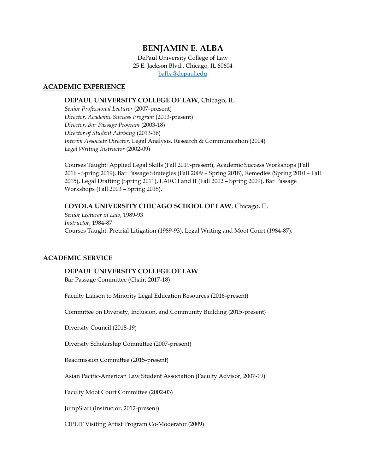# **BENJAMIN E. ALBA**

DePaul University College of Law 25 E. Jackson Blvd., Chicago, IL 60604 [balba@depaul.edu](mailto:balba@depaul.edu)

# **ACADEMIC EXPERIENCE**

# **DEPAUL UNIVERSITY COLLEGE OF LAW**, Chicago, IL

*Senior Professional Lecturer* (2007-present) *Director, Academic Success Program* (2013-present) *Director, Bar Passage Program* (2003-18) *Director of Student Advising* (2013-16) *Interim Associate Director,* Legal Analysis, Research & Communication (2004) *Legal Writing Instructor* (2002-09)

Courses Taught: Applied Legal Skills (Fall 2019-present), Academic Success Workshops (Fall 2016 - Spring 2019), Bar Passage Strategies (Fall 2009 – Spring 2018), Remedies (Spring 2010 – Fall 2015), Legal Drafting (Spring 2011), LARC I and II (Fall 2002 – Spring 2009), Bar Passage Workshops (Fall 2003 – Spring 2018).

# **LOYOLA UNIVERSITY CHICAGO SCHOOL OF LAW**, Chicago, IL

*Senior Lecturer in Law*, 1989-93 *Instructor*, 1984-87 Courses Taught: Pretrial Litigation (1989-93), Legal Writing and Moot Court (1984-87).

# **ACADEMIC SERVICE**

# **DEPAUL UNIVERSITY COLLEGE OF LAW**

Bar Passage Committee (Chair, 2017-18)

Faculty Liaison to Minority Legal Education Resources (2016-present)

Committee on Diversity, Inclusion, and Community Building (2015-present)

Diversity Council (2018-19)

Diversity Scholarship Committee (2007-present)

Readmission Committee (2015-present)

Asian Pacific-American Law Student Association (Faculty Advisor, 2007-19)

Faculty Moot Court Committee (2002-03)

JumpStart (instructor, 2012-present)

CIPLIT Visiting Artist Program Co-Moderator (2009)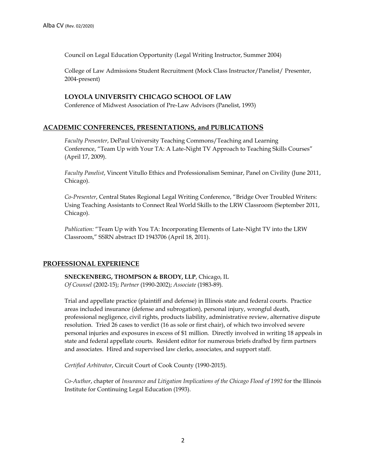Council on Legal Education Opportunity (Legal Writing Instructor, Summer 2004)

College of Law Admissions Student Recruitment (Mock Class Instructor/Panelist/ Presenter, 2004-present)

# **LOYOLA UNIVERSITY CHICAGO SCHOOL OF LAW**

Conference of Midwest Association of Pre-Law Advisors (Panelist, 1993)

# **ACADEMIC CONFERENCES, PRESENTATIONS, and PUBLICATIONS**

*Faculty Presenter*, DePaul University Teaching Commons/Teaching and Learning Conference, "Team Up with Your TA: A Late-Night TV Approach to Teaching Skills Courses" (April 17, 2009).

*Faculty Panelist*, Vincent Vitullo Ethics and Professionalism Seminar, Panel on Civility (June 2011, Chicago).

*Co-Presenter*, Central States Regional Legal Writing Conference, "Bridge Over Troubled Writers: Using Teaching Assistants to Connect Real World Skills to the LRW Classroom (September 2011, Chicago).

*Publication:* "Team Up with You TA: Incorporating Elements of Late-Night TV into the LRW Classroom," SSRN abstract ID 1943706 (April 18, 2011).

# **PROFESSIONAL EXPERIENCE**

**SNECKENBERG, THOMPSON & BRODY, LLP**, Chicago, IL *Of Counsel* (2002-15); *Partner* (1990-2002); *Associate* (1983-89).

Trial and appellate practice (plaintiff and defense) in Illinois state and federal courts. Practice areas included insurance (defense and subrogation), personal injury, wrongful death, professional negligence, civil rights, products liability, administrative review, alternative dispute resolution. Tried 26 cases to verdict (16 as sole or first chair), of which two involved severe personal injuries and exposures in excess of \$1 million. Directly involved in writing 18 appeals in state and federal appellate courts. Resident editor for numerous briefs drafted by firm partners and associates. Hired and supervised law clerks, associates, and support staff.

*Certified Arbitrator*, Circuit Court of Cook County (1990-2015).

*Co-Author*, chapter of *Insurance and Litigation Implications of the Chicago Flood of 1992* for the Illinois Institute for Continuing Legal Education (1993).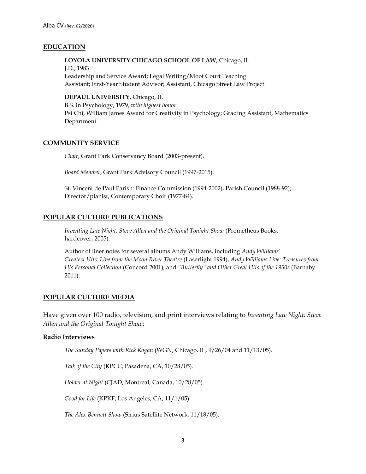# **EDUCATION**

# **LOYOLA UNIVERSITY CHICAGO SCHOOL OF LAW**, Chicago, IL

J.D., 1983 Leadership and Service Award; Legal Writing/Moot Court Teaching Assistant; First-Year Student Advisor; Assistant, Chicago Street Law Project.

### **DEPAUL UNIVERSITY**, Chicago, IL

B.S. in Psychology, 1979, *with highest honor* Psi Chi, William James Award for Creativity in Psychology; Grading Assistant, Mathematics Department.

# **COMMUNITY SERVICE**

*Chair*, Grant Park Conservancy Board (2003-present).

*Board Member*, Grant Park Advisory Council (1997-2015).

St. Vincent de Paul Parish: Finance Commission (1994-2002), Parish Council (1988-92); Director/pianist, Contemporary Choir (1977-84).

# **POPULAR CULTURE PUBLICATIONS**

*Inventing Late Night: Steve Allen and the Original Tonight Show* (Prometheus Books, hardcover, 2005).

Author of liner notes for several albums Andy Williams, including *Andy Williams' Greatest Hits: Live from the Moon River Theatre* (Laserlight 1994), *Andy Williams Live: Treasures from His Personal Collection* (Concord 2001), and *"Butterfly" and Other Great Hits of the 1950s* (Barnaby 2011).

# **POPULAR CULTURE MEDIA**

Have given over 100 radio, television, and print interviews relating to *Inventing Late Night: Steve Allen and the Original Tonight Show*:

# **Radio Interviews**

*The Sunday Papers with Rick Kogan* (WGN, Chicago, IL, 9/26/04 and 11/13/05).

*Talk of the City* (KPCC, Pasadena, CA, 10/28/05).

*Holder at Night* (CJAD, Montreal, Canada, 10/28/05).

*Good for Life* (KPKF, Los Angeles, CA, 11/1/05).

*The Alex Bennett Show* (Sirius Satellite Network, 11/18/05).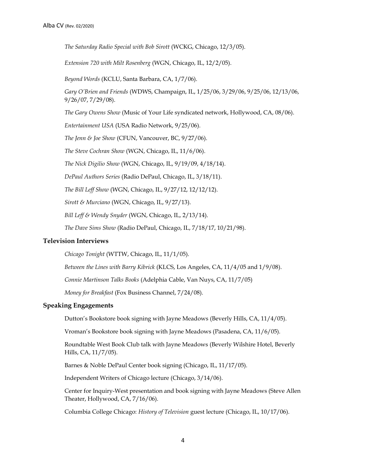*The Saturday Radio Special with Bob Sirott* (WCKG, Chicago, 12/3/05).

*Extension 720 with Milt Rosenberg* (WGN, Chicago, IL, 12/2/05).

*Beyond Words* (KCLU, Santa Barbara, CA, 1/7/06).

*Gary O'Brien and Friends* (WDWS, Champaign, IL, 1/25/06, 3/29/06, 9/25/06, 12/13/06, 9/26/07, 7/29/08).

*The Gary Owens Show* (Music of Your Life syndicated network, Hollywood, CA, 08/06).

*Entertainment USA* (USA Radio Network, 9/25/06).

*The Jenn & Joe Show* (CFUN, Vancouver, BC, 9/27/06).

*The Steve Cochran Show* (WGN, Chicago, IL, 11/6/06).

*The Nick Digilio Show* (WGN, Chicago, IL, 9/19/09, 4/18/14).

*DePaul Authors Series* (Radio DePaul, Chicago, IL, 3/18/11).

*The Bill Leff Show* (WGN, Chicago, IL, 9/27/12, 12/12/12).

*Sirott & Murciano* (WGN, Chicago, IL, 9/27/13).

*Bill Leff & Wendy Snyder* (WGN, Chicago, IL, 2/13/14).

*The Dave Sims Show* (Radio DePaul, Chicago, IL, 7/18/17, 10/21/98).

#### **Television Interviews**

*Chicago Tonight* (WTTW, Chicago, IL, 11/1/05).

*Between the Lines with Barry Kibrick* (KLCS, Los Angeles, CA, 11/4/05 and 1/9/08).

*Connie Martinson Talks Books* (Adelphia Cable, Van Nuys, CA, 11/7/05)

*Money for Breakfast* (Fox Business Channel, 7/24/08).

# **Speaking Engagements**

Dutton's Bookstore book signing with Jayne Meadows (Beverly Hills, CA, 11/4/05).

Vroman's Bookstore book signing with Jayne Meadows (Pasadena, CA, 11/6/05).

Roundtable West Book Club talk with Jayne Meadows (Beverly Wilshire Hotel, Beverly Hills, CA, 11/7/05).

Barnes & Noble DePaul Center book signing (Chicago, IL, 11/17/05).

Independent Writers of Chicago lecture (Chicago, 3/14/06).

Center for Inquiry-West presentation and book signing with Jayne Meadows (Steve Allen Theater, Hollywood, CA, 7/16/06).

Columbia College Chicago: *History of Television* guest lecture (Chicago, IL, 10/17/06).